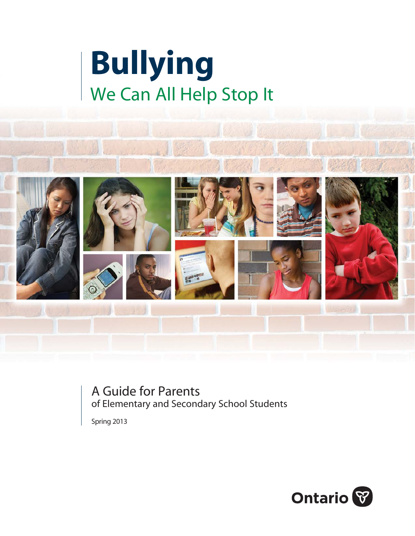



A Guide for Parents of Elementary and Secondary School Students

Spring 2013

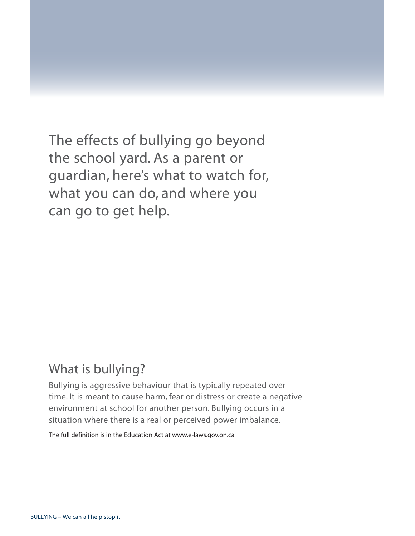The effects of bullying go beyond the school yard. As a parent or guardian, here's what to watch for, what you can do, and where you can go to get help.

# What is bullying?

Bullying is aggressive behaviour that is typically repeated over time. It is meant to cause harm, fear or distress or create a negative environment at school for another person. Bullying occurs in a situation where there is a real or perceived power imbalance.

The full definition is in the Education Act at [www.e-laws.gov.on.ca](http://www.e-laws.gov.on.ca)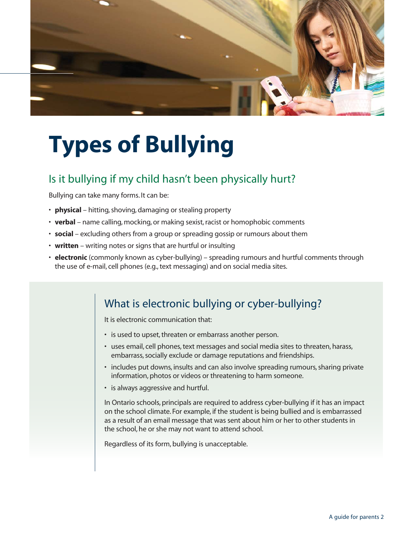

# **Types of Bullying**

# Is it bullying if my child hasn't been physically hurt?

Bullying can take many forms. It can be:

- **physical**  hitting, shoving, damaging or stealing property
- **verbal** name calling, mocking, or making sexist, racist or homophobic comments
- **social**  excluding others from a group or spreading gossip or rumours about them
- **written** writing notes or signs that are hurtful or insulting
- **electronic** (commonly known as cyber-bullying) spreading rumours and hurtful comments through the use of e-mail, cell phones (e.g., text messaging) and on social media sites.

# What is electronic bullying or cyber-bullying?

It is electronic communication that:

- is used to upset, threaten or embarrass another person.
- uses email, cell phones, text messages and social media sites to threaten, harass, embarrass, socially exclude or damage reputations and friendships.
- includes put downs, insults and can also involve spreading rumours, sharing private information, photos or videos or threatening to harm someone.
- is always aggressive and hurtful.

In Ontario schools, principals are required to address cyber-bullying if it has an impact on the school climate. For example, if the student is being bullied and is embarrassed as a result of an email message that was sent about him or her to other students in the school, he or she may not want to attend school.

Regardless of its form, bullying is unacceptable.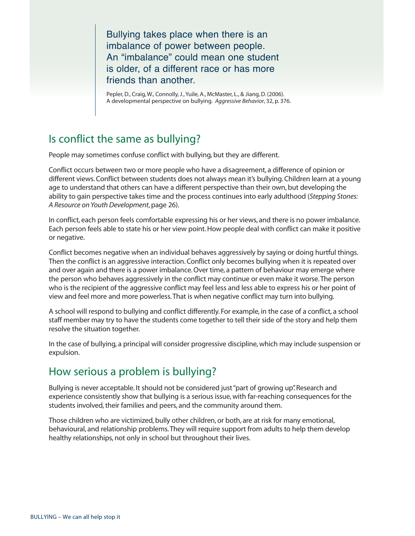Bullying takes place when there is an imbalance of power between people. An "imbalance" could mean one student is older, of a different race or has more friends than another.

Pepler, D., Craig, W., Connolly, J., Yuile, A., McMaster, L., & Jiang, D. (2006). A developmental perspective on bullying. *Aggressive Behavior*, 32, p. 376.

# Is conflict the same as bullying?

People may sometimes confuse conflict with bullying, but they are different.

Conflict occurs between two or more people who have a disagreement, a difference of opinion or different views. Conflict between students does not always mean it's bullying. Children learn at a young age to understand that others can have a different perspective than their own, but developing the ability to gain perspective takes time and the process continues into early adulthood (*Stepping Stones: A Resource on Youth Development*, page 26).

In conflict, each person feels comfortable expressing his or her views, and there is no power imbalance. Each person feels able to state his or her view point. How people deal with conflict can make it positive or negative.

Conflict becomes negative when an individual behaves aggressively by saying or doing hurtful things. Then the conflict is an aggressive interaction. Conflict only becomes bullying when it is repeated over and over again and there is a power imbalance. Over time, a pattern of behaviour may emerge where the person who behaves aggressively in the conflict may continue or even make it worse. The person who is the recipient of the aggressive conflict may feel less and less able to express his or her point of view and feel more and more powerless. That is when negative conflict may turn into bullying.

A school will respond to bullying and conflict differently. For example, in the case of a conflict, a school staff member may try to have the students come together to tell their side of the story and help them resolve the situation together.

In the case of bullying, a principal will consider progressive discipline, which may include suspension or expulsion.

# How serious a problem is bullying?

Bullying is never acceptable. It should not be considered just "part of growing up". Research and experience consistently show that bullying is a serious issue, with far-reaching consequences for the students involved, their families and peers, and the community around them.

Those children who are victimized, bully other children, or both, are at risk for many emotional, behavioural, and relationship problems. They will require support from adults to help them develop healthy relationships, not only in school but throughout their lives.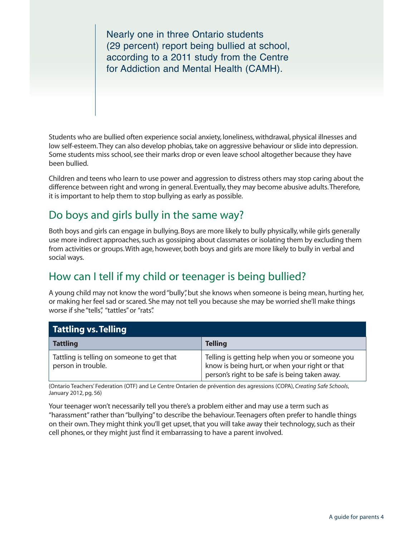Nearly one in three Ontario students (29 percent) report being bullied at school, according to a 2011 study from the Centre for Addiction and Mental Health (CAMH).

Students who are bullied often experience social anxiety, loneliness, withdrawal, physical illnesses and low self-esteem. They can also develop phobias, take on aggressive behaviour or slide into depression. Some students miss school, see their marks drop or even leave school altogether because they have been bullied.

Children and teens who learn to use power and aggression to distress others may stop caring about the difference between right and wrong in general. Eventually, they may become abusive adults. Therefore, it is important to help them to stop bullying as early as possible.

# Do boys and girls bully in the same way?

Both boys and girls can engage in bullying. Boys are more likely to bully physically, while girls generally use more indirect approaches, such as gossiping about classmates or isolating them by excluding them from activities or groups. With age, however, both boys and girls are more likely to bully in verbal and social ways.

# How can I tell if my child or teenager is being bullied?

A young child may not know the word "bully", but she knows when someone is being mean, hurting her, or making her feel sad or scared. She may not tell you because she may be worried she'll make things worse if she "tells", "tattles" or "rats".

| <b>Tattling vs. Telling</b>                                      |                                                                                                                                                     |
|------------------------------------------------------------------|-----------------------------------------------------------------------------------------------------------------------------------------------------|
| <b>Tattling</b>                                                  | <b>Telling</b>                                                                                                                                      |
| Tattling is telling on someone to get that<br>person in trouble. | Telling is getting help when you or someone you<br>know is being hurt, or when your right or that<br>person's right to be safe is being taken away. |

(Ontario Teachers' Federation (OTF) and Le Centre Ontarien de prévention des agressions (COPA), *Creating Safe Schools*, January 2012, pg. 56)

Your teenager won't necessarily tell you there's a problem either and may use a term such as "harassment" rather than "bullying" to describe the behaviour. Teenagers often prefer to handle things on their own. They might think you'll get upset, that you will take away their technology, such as their cell phones, or they might just find it embarrassing to have a parent involved.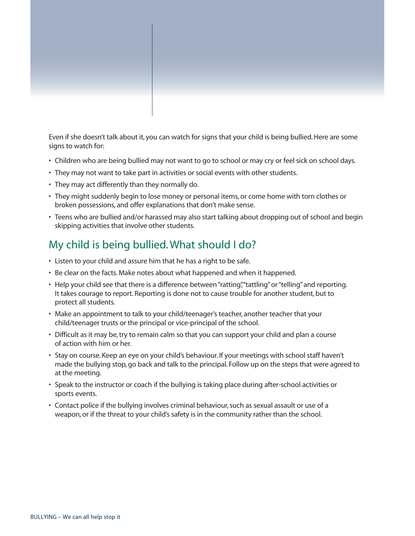Even if she doesn't talk about it, you can watch for signs that your child is being bullied. Here are some signs to watch for:

- Children who are being bullied may not want to go to school or may cry or feel sick on school days.
- They may not want to take part in activities or social events with other students.
- They may act differently than they normally do.
- They might suddenly begin to lose money or personal items, or come home with torn clothes or broken possessions, and offer explanations that don't make sense.
- Teens who are bullied and/or harassed may also start talking about dropping out of school and begin skipping activities that involve other students.

## My child is being bullied. What should I do?

- Listen to your child and assure him that he has a right to be safe.
- Be clear on the facts. Make notes about what happened and when it happened.
- Help your child see that there is a difference between "ratting", "tattling" or "telling" and reporting. It takes courage to report. Reporting is done not to cause trouble for another student, but to protect all students.
- Make an appointment to talk to your child/teenager's teacher, another teacher that your child/teenager trusts or the principal or vice-principal of the school.
- Difficult as it may be, try to remain calm so that you can support your child and plan a course of action with him or her.
- Stay on course. Keep an eye on your child's behaviour. If your meetings with school staff haven't made the bullying stop, go back and talk to the principal. Follow up on the steps that were agreed to at the meeting.
- Speak to the instructor or coach if the bullying is taking place during after-school activities or sports events.
- Contact police if the bullying involves criminal behaviour, such as sexual assault or use of a weapon, or if the threat to your child's safety is in the community rather than the school.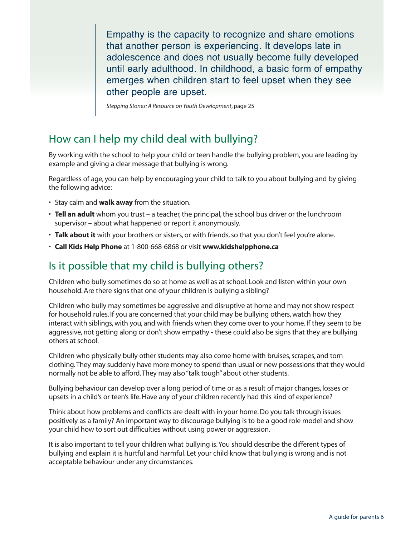Empathy is the capacity to recognize and share emotions that another person is experiencing. It develops late in adolescence and does not usually become fully developed until early adulthood. In childhood, a basic form of empathy emerges when children start to feel upset when they see other people are upset.

*Stepping Stones: A Resource on Youth Development*, page 25

# How can I help my child deal with bullying?

By working with the school to help your child or teen handle the bullying problem, you are leading by example and giving a clear message that bullying is wrong.

Regardless of age, you can help by encouraging your child to talk to you about bullying and by giving the following advice:

- Stay calm and **walk away** from the situation.
- **Tell an adult** whom you trust a teacher, the principal, the school bus driver or the lunchroom supervisor – about what happened or report it anonymously.
- **Talk about it** with your brothers or sisters, or with friends, so that you don't feel you're alone.
- **Call Kids Help Phone** at 1-800-668-6868 or visit **[www.kidshelpphone.ca](http://www.kidshelpphone.ca)**

### Is it possible that my child is bullying others?

Children who bully sometimes do so at home as well as at school. Look and listen within your own household. Are there signs that one of your children is bullying a sibling?

Children who bully may sometimes be aggressive and disruptive at home and may not show respect for household rules. If you are concerned that your child may be bullying others, watch how they interact with siblings, with you, and with friends when they come over to your home. If they seem to be aggressive, not getting along or don't show empathy - these could also be signs that they are bullying others at school.

Children who physically bully other students may also come home with bruises, scrapes, and torn clothing. They may suddenly have more money to spend than usual or new possessions that they would normally not be able to afford. They may also "talk tough" about other students.

Bullying behaviour can develop over a long period of time or as a result of major changes, losses or upsets in a child's or teen's life. Have any of your children recently had this kind of experience?

Think about how problems and conflicts are dealt with in your home. Do you talk through issues positively as a family? An important way to discourage bullying is to be a good role model and show your child how to sort out difficulties without using power or aggression.

It is also important to tell your children what bullying is. You should describe the different types of bullying and explain it is hurtful and harmful. Let your child know that bullying is wrong and is not acceptable behaviour under any circumstances.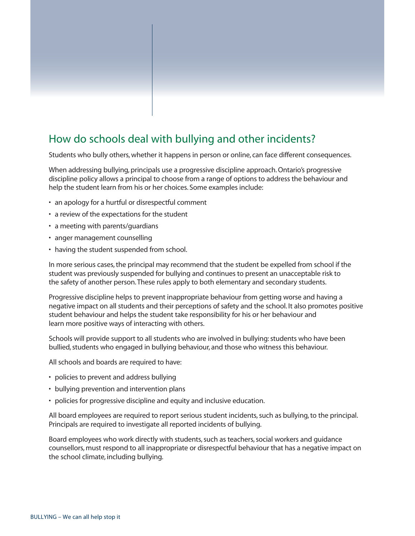# How do schools deal with bullying and other incidents?

Students who bully others, whether it happens in person or online, can face different consequences.

When addressing bullying, principals use a progressive discipline approach. Ontario's progressive discipline policy allows a principal to choose from a range of options to address the behaviour and help the student learn from his or her choices. Some examples include:

- an apology for a hurtful or disrespectful comment
- a review of the expectations for the student
- a meeting with parents/guardians
- anger management counselling
- having the student suspended from school.

In more serious cases, the principal may recommend that the student be expelled from school if the student was previously suspended for bullying and continues to present an unacceptable risk to the safety of another person. These rules apply to both elementary and secondary students.

Progressive discipline helps to prevent inappropriate behaviour from getting worse and having a negative impact on all students and their perceptions of safety and the school. It also promotes positive student behaviour and helps the student take responsibility for his or her behaviour and learn more positive ways of interacting with others.

Schools will provide support to all students who are involved in bullying: students who have been bullied, students who engaged in bullying behaviour, and those who witness this behaviour.

All schools and boards are required to have:

- policies to prevent and address bullying
- bullying prevention and intervention plans
- policies for progressive discipline and equity and inclusive education.

All board employees are required to report serious student incidents, such as bullying, to the principal. Principals are required to investigate all reported incidents of bullying.

Board employees who work directly with students, such as teachers, social workers and guidance counsellors, must respond to all inappropriate or disrespectful behaviour that has a negative impact on the school climate, including bullying.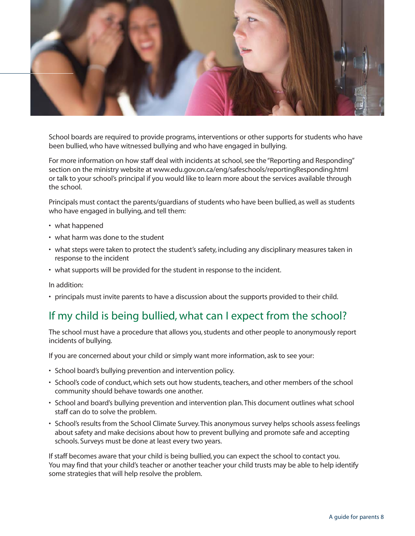

School boards are required to provide programs, interventions or other supports for students who have been bullied, who have witnessed bullying and who have engaged in bullying.

For more information on how staff deal with incidents at school, see the "Reporting and Responding" section on the ministry website at www.edu.gov.on.ca/eng/safeschools/reportingResponding.html or talk to your school's principal if you would like to learn more about the services available through the school.

Principals must contact the parents/guardians of students who have been bullied, as well as students who have engaged in bullying, and tell them:

- what happened
- what harm was done to the student
- what steps were taken to protect the student's safety, including any disciplinary measures taken in response to the incident
- what supports will be provided for the student in response to the incident.

In addition:

• principals must invite parents to have a discussion about the supports provided to their child.

# If my child is being bullied, what can I expect from the school?

The school must have a procedure that allows you, students and other people to anonymously report incidents of bullying.

If you are concerned about your child or simply want more information, ask to see your:

- School board's bullying prevention and intervention policy.
- School's code of conduct, which sets out how students, teachers, and other members of the school community should behave towards one another.
- School and board's bullying prevention and intervention plan. This document outlines what school staff can do to solve the problem.
- School's results from the School Climate Survey. This anonymous survey helps schools assess feelings about safety and make decisions about how to prevent bullying and promote safe and accepting schools. Surveys must be done at least every two years.

If staff becomes aware that your child is being bullied, you can expect the school to contact you. You may find that your child's teacher or another teacher your child trusts may be able to help identify some strategies that will help resolve the problem.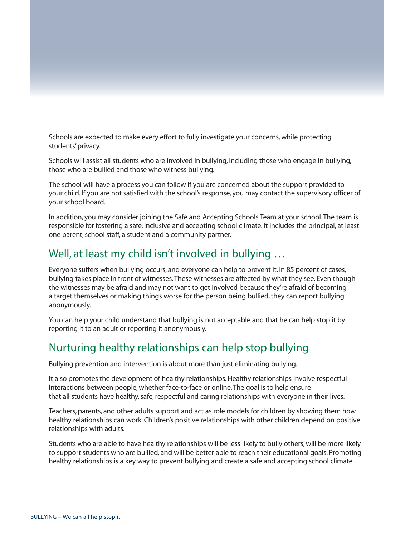

Schools are expected to make every effort to fully investigate your concerns, while protecting students' privacy.

Schools will assist all students who are involved in bullying, including those who engage in bullying, those who are bullied and those who witness bullying.

The school will have a process you can follow if you are concerned about the support provided to your child. If you are not satisfied with the school's response, you may contact the supervisory officer of your school board.

In addition, you may consider joining the Safe and Accepting Schools Team at your school. The team is responsible for fostering a safe, inclusive and accepting school climate. It includes the principal, at least one parent, school staff, a student and a community partner.

# Well, at least my child isn't involved in bullying …

Everyone suffers when bullying occurs, and everyone can help to prevent it. In 85 percent of cases, bullying takes place in front of witnesses. These witnesses are affected by what they see. Even though the witnesses may be afraid and may not want to get involved because they're afraid of becoming a target themselves or making things worse for the person being bullied, they can report bullying anonymously.

You can help your child understand that bullying is not acceptable and that he can help stop it by reporting it to an adult or reporting it anonymously.

# Nurturing healthy relationships can help stop bullying

Bullying prevention and intervention is about more than just eliminating bullying.

It also promotes the development of healthy relationships. Healthy relationships involve respectful interactions between people, whether face-to-face or online. The goal is to help ensure that all students have healthy, safe, respectful and caring relationships with everyone in their lives.

Teachers, parents, and other adults support and act as role models for children by showing them how healthy relationships can work. Children's positive relationships with other children depend on positive relationships with adults.

Students who are able to have healthy relationships will be less likely to bully others, will be more likely to support students who are bullied, and will be better able to reach their educational goals. Promoting healthy relationships is a key way to prevent bullying and create a safe and accepting school climate.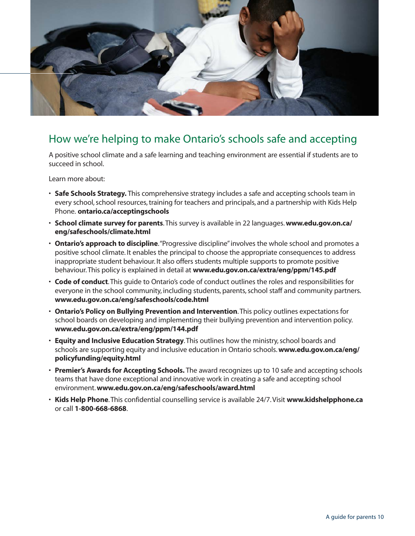

# How we're helping to make Ontario's schools safe and accepting

A positive school climate and a safe learning and teaching environment are essential if students are to succeed in school.

Learn more about:

- **Safe Schools Strategy.** This comprehensive strategy includes a safe and accepting schools team in every school, school resources, training for teachers and principals, and a partnership with Kids Help Phone. **[ontario.ca/acceptingschools](http://www.ontario.ca/acceptingschools)**
- **School climate survey for parents**. This survey is available in 22 languages. **[www.edu.gov.on.ca/](http://www.edu.gov.on.ca/eng/safeschools/climate.html) [eng/safeschools/climate.html](http://www.edu.gov.on.ca/eng/safeschools/climate.html)**
- **Ontario's approach to discipline**. "Progressive discipline" involves the whole school and promotes a positive school climate. It enables the principal to choose the appropriate consequences to address inappropriate student behaviour. It also offers students multiple supports to promote positive behaviour. This policy is explained in detail at **[www.edu.gov.on.ca/extra/eng/ppm/145.pdf](http://www.edu.gov.on.ca/extra/eng/ppm/145.pdf)**
- **Code of conduct**. This guide to Ontario's code of conduct outlines the roles and responsibilities for everyone in the school community, including students, parents, school staff and community partners. **[www.edu.gov.on.ca/eng/safeschools/code.html](http://www.edu.gov.on.ca/eng/safeschools/code.html)**
- **Ontario's Policy on Bullying Prevention and Intervention**. This policy outlines expectations for school boards on developing and implementing their bullying prevention and intervention policy. **[www.edu.gov.on.ca/extra/eng/ppm/144.pdf](http://www.edu.gov.on.ca/extra/eng/ppm/144.pdf)**
- **Equity and Inclusive Education Strategy**. This outlines how the ministry, school boards and schools are supporting equity and inclusive education in Ontario schools. **[www.edu.gov.on.ca/eng/](http://www.edu.gov.on.ca/eng/policyfunding/equity.html) [policyfunding/equity.html](http://www.edu.gov.on.ca/eng/policyfunding/equity.html)**
- **Premier's Awards for Accepting Schools.** The award recognizes up to 10 safe and accepting schools teams that have done exceptional and innovative work in creating a safe and accepting school environment. **[www.edu.gov.on.ca/eng/safeschools/award.html](http://www.edu.gov.on.ca/eng/safeschools/award.html)**
- **Kids Help Phone**. This confidential counselling service is available 24/7. Visit **[www.kidshelpphone.ca](http://www.kidshelpphone.ca)** or call **1-800-668-6868**.